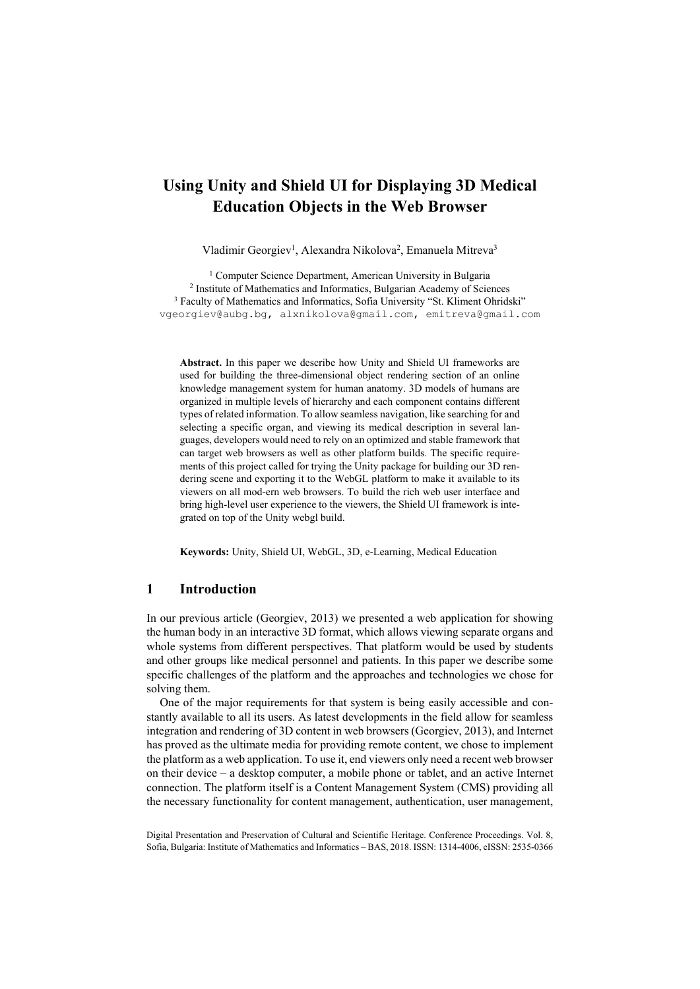# **Using Unity and Shield UI for Displaying 3D Medical Education Objects in the Web Browser**

Vladimir Georgiev<sup>1</sup>, Alexandra Nikolova<sup>2</sup>, Emanuela Mitreva<sup>3</sup>

<sup>1</sup> Computer Science Department, American University in Bulgaria<br><sup>2</sup> Institute of Mathematics and Informatics, Bulgarian Academy of Sciences <sup>3</sup> Faculty of Mathematics and Informatics, Sofia University "St. Kliment Ohridsk vgeorgiev@aubg.bg, alxnikolova@gmail.com, emitreva@gmail.com

**Abstract.** In this paper we describe how Unity and Shield UI frameworks are used for building the three-dimensional object rendering section of an online knowledge management system for human anatomy. 3D models of humans are organized in multiple levels of hierarchy and each component contains different types of related information. To allow seamless navigation, like searching for and selecting a specific organ, and viewing its medical description in several languages, developers would need to rely on an optimized and stable framework that can target web browsers as well as other platform builds. The specific requirements of this project called for trying the Unity package for building our 3D rendering scene and exporting it to the WebGL platform to make it available to its viewers on all mod-ern web browsers. To build the rich web user interface and bring high-level user experience to the viewers, the Shield UI framework is integrated on top of the Unity webgl build.

**Keywords:** Unity, Shield UI, WebGL, 3D, e-Learning, Medical Education

#### **1 Introduction**

In our previous article (Georgiev, 2013) we presented a web application for showing the human body in an interactive 3D format, which allows viewing separate organs and whole systems from different perspectives. That platform would be used by students and other groups like medical personnel and patients. In this paper we describe some specific challenges of the platform and the approaches and technologies we chose for solving them.

One of the major requirements for that system is being easily accessible and constantly available to all its users. As latest developments in the field allow for seamless integration and rendering of 3D content in web browsers (Georgiev, 2013), and Internet has proved as the ultimate media for providing remote content, we chose to implement the platform as a web application. To use it, end viewers only need a recent web browser on their device – a desktop computer, a mobile phone or tablet, and an active Internet connection. The platform itself is a Content Management System (CMS) providing all the necessary functionality for content management, authentication, user management,

Digital Presentation and Preservation of Cultural and Scientific Heritage. Conference Proceedings. Vol. 8, Sofia, Bulgaria: Institute of Mathematics and Informatics – BAS, 2018. ISSN: 1314-4006, eISSN: 2535-0366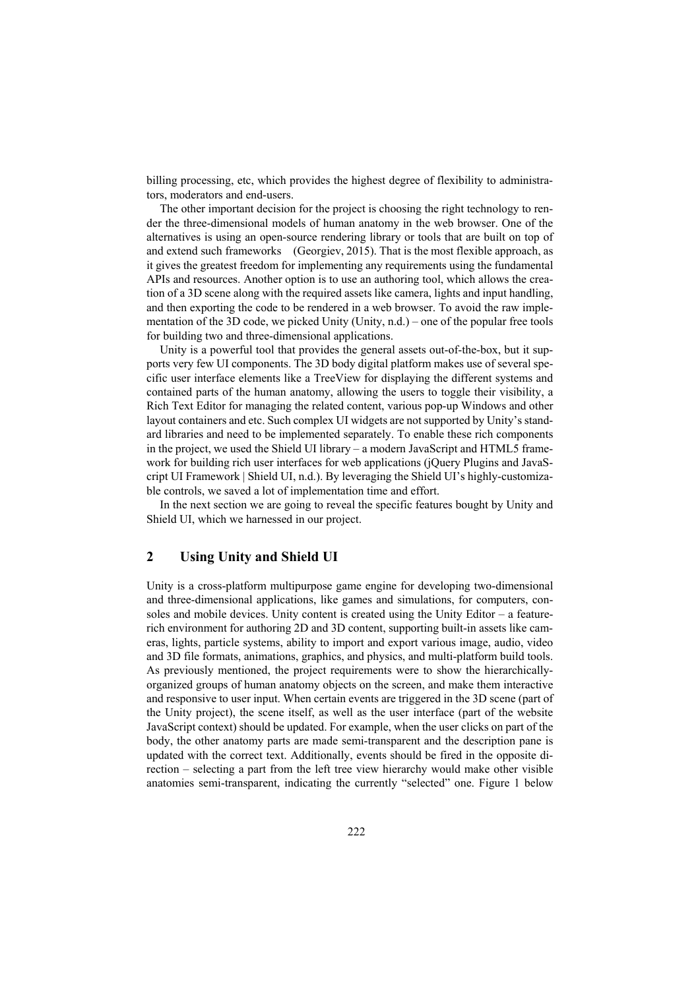billing processing, etc, which provides the highest degree of flexibility to administrators, moderators and end-users.

The other important decision for the project is choosing the right technology to render the three-dimensional models of human anatomy in the web browser. One of the alternatives is using an open-source rendering library or tools that are built on top of and extend such frameworks (Georgiev, 2015). That is the most flexible approach, as it gives the greatest freedom for implementing any requirements using the fundamental APIs and resources. Another option is to use an authoring tool, which allows the creation of a 3D scene along with the required assets like camera, lights and input handling, and then exporting the code to be rendered in a web browser. To avoid the raw implementation of the 3D code, we picked Unity (Unity, n.d.) – one of the popular free tools for building two and three-dimensional applications.

Unity is a powerful tool that provides the general assets out-of-the-box, but it supports very few UI components. The 3D body digital platform makes use of several specific user interface elements like a TreeView for displaying the different systems and contained parts of the human anatomy, allowing the users to toggle their visibility, a Rich Text Editor for managing the related content, various pop-up Windows and other layout containers and etc. Such complex UI widgets are not supported by Unity's standard libraries and need to be implemented separately. To enable these rich components in the project, we used the Shield UI library – a modern JavaScript and HTML5 framework for building rich user interfaces for web applications (jQuery Plugins and JavaScript UI Framework | Shield UI, n.d.). By leveraging the Shield UI's highly-customizable controls, we saved a lot of implementation time and effort.

In the next section we are going to reveal the specific features bought by Unity and Shield UI, which we harnessed in our project.

## **2 Using Unity and Shield UI**

Unity is a cross-platform multipurpose game engine for developing two-dimensional and three-dimensional applications, like games and simulations, for computers, consoles and mobile devices. Unity content is created using the Unity Editor  $-$  a featurerich environment for authoring 2D and 3D content, supporting built-in assets like cameras, lights, particle systems, ability to import and export various image, audio, video and 3D file formats, animations, graphics, and physics, and multi-platform build tools. As previously mentioned, the project requirements were to show the hierarchicallyorganized groups of human anatomy objects on the screen, and make them interactive and responsive to user input. When certain events are triggered in the 3D scene (part of the Unity project), the scene itself, as well as the user interface (part of the website JavaScript context) should be updated. For example, when the user clicks on part of the body, the other anatomy parts are made semi-transparent and the description pane is updated with the correct text. Additionally, events should be fired in the opposite direction – selecting a part from the left tree view hierarchy would make other visible anatomies semi-transparent, indicating the currently "selected" one. Figure 1 below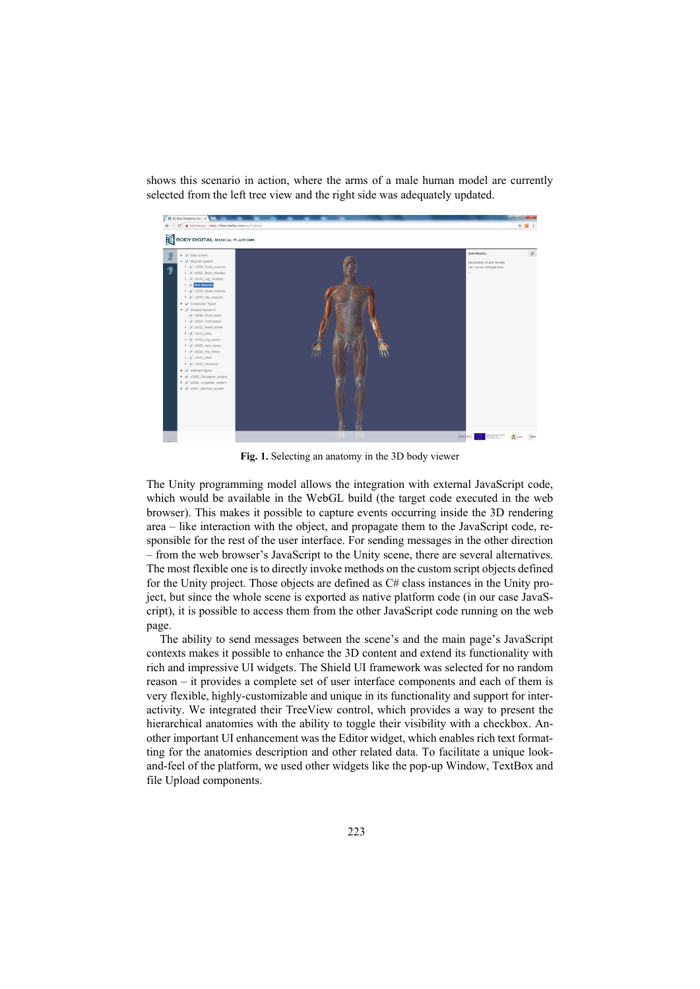

shows this scenario in action, where the arms of a male human model are currently selected from the left tree view and the right side was adequately updated.

**Fig. 1.** Selecting an anatomy in the 3D body viewer

The Unity programming model allows the integration with external JavaScript code, which would be available in the WebGL build (the target code executed in the web browser). This makes it possible to capture events occurring inside the 3D rendering area – like interaction with the object, and propagate them to the JavaScript code, responsible for the rest of the user interface. For sending messages in the other direction – from the web browser's JavaScript to the Unity scene, there are several alternatives. The most flexible one is to directly invoke methods on the custom script objects defined for the Unity project. Those objects are defined as C# class instances in the Unity project, but since the whole scene is exported as native platform code (in our case JavaScript), it is possible to access them from the other JavaScript code running on the web page.

The ability to send messages between the scene's and the main page's JavaScript contexts makes it possible to enhance the 3D content and extend its functionality with rich and impressive UI widgets. The Shield UI framework was selected for no random reason – it provides a complete set of user interface components and each of them is very flexible, highly-customizable and unique in its functionality and support for interactivity. We integrated their TreeView control, which provides a way to present the hierarchical anatomies with the ability to toggle their visibility with a checkbox. Another important UI enhancement was the Editor widget, which enables rich text formatting for the anatomies description and other related data. To facilitate a unique lookand-feel of the platform, we used other widgets like the pop-up Window, TextBox and file Upload components.